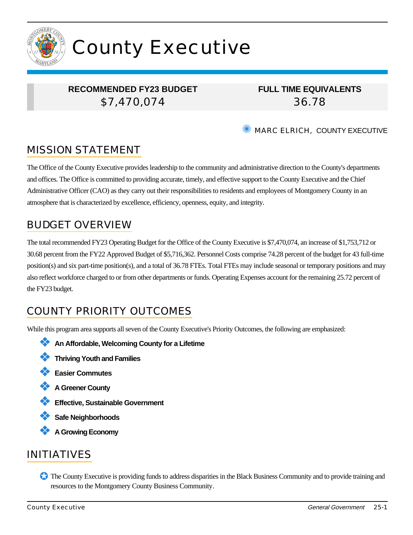

# County Executive

## **RECOMMENDED FY23 BUDGET** \$7,470,074

**FULL TIME EQUIVALENTS** 36.78

**WARC ELRICH, COUNTY EXECUTIVE** 

# MISSION STATEMENT

The Office of the County Executive provides leadership to the community and administrative direction to the County's departments and offices. The Office is committed to providing accurate, timely, and effective support to the County Executive and the Chief Administrative Officer (CAO) as they carry out their responsibilities to residents and employees of Montgomery County in an atmosphere that is characterized by excellence, efficiency, openness, equity, and integrity.

# BUDGET OVERVIEW

The total recommended FY23 Operating Budget for the Office of the County Executive is \$7,470,074, an increase of \$1,753,712 or 30.68 percent from the FY22 Approved Budget of \$5,716,362. Personnel Costs comprise 74.28 percent of the budget for 43 full-time position(s) and six part-time position(s), and a total of 36.78 FTEs. Total FTEs may include seasonal or temporary positions and may also reflect workforce charged to or from other departments or funds. Operating Expenses account for the remaining 25.72 percent of the FY23 budget.

# COUNTY PRIORITY OUTCOMES

While this program area supports all seven of the County Executive's Priority Outcomes, the following are emphasized:

- ❖ **An Affordable, Welcoming County for a Lifetime**
- ❖ **Thriving Youth and Families**
- ❖ **Easier Commutes**
- ❖ **A Greener County**
- ❖ **Effective, Sustainable Government**
- ❖ **Safe Neighborhoods**
- ❖ **A Growing Economy**

# INITIATIVES

✪ The County Executive is providing funds to address disparities in the Black Business Community and to provide training and resources to the Montgomery County Business Community.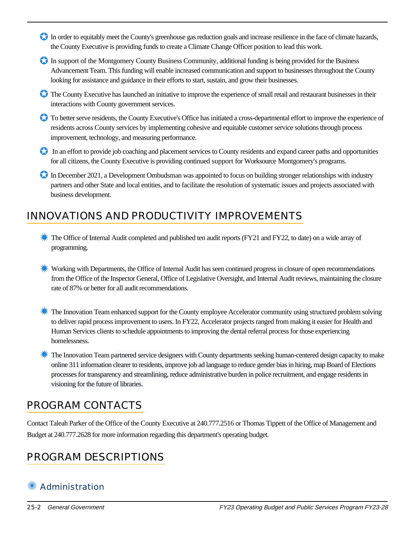- In order to equitably meet the County's greenhouse gas reduction goals and increase resilience in the face of climate hazards, the County Executive is providing funds to create a Climate Change Officer position to lead this work.
- In support of the Montgomery County Business Community, additional funding is being provided for the Business Advancement Team. This funding will enable increased communication and support to businesses throughout the County looking for assistance and guidance in their efforts to start, sustain, and grow their businesses.
- ✪ The County Executive has launched an initiative to improve the experience of small retail and restaurant businesses in their interactions with County government services.
- ✪ To better serve residents, the County Executive's Office has initiated a cross-departmental effort to improve the experience of residents across County services by implementing cohesive and equitable customer service solutions through process improvement, technology, and measuring performance.
- In an effort to provide job coaching and placement services to County residents and expand career paths and opportunities for all citizens, the County Executive is providing continued support for Worksource Montgomery's programs.
- In December 2021, a Development Ombudsman was appointed to focus on building stronger relationships with industry partners and other State and local entities, and to facilitate the resolution of systematic issues and projects associated with business development.

# INNOVATIONS AND PRODUCTIVITY IMPROVEMENTS

- <del></del> The Office of Internal Audit completed and published ten audit reports (FY21 and FY22, to date) on a wide array of programming.
- $\epsilon$  Working with Departments, the Office of Internal Audit has seen continued progress in closure of open recommendations from the Office of the Inspector General, Office of Legislative Oversight, and Internal Audit reviews, maintaining the closure rate of 87% or better for all audit recommendations.
- $\epsilon$  The Innovation Team enhanced support for the County employee Accelerator community using structured problem solving to deliver rapid process improvement to users. In FY22, Accelerator projects ranged from making it easier for Health and Human Services clients to schedule appointments to improving the dental referral process for those experiencing homelessness.
- ✹ The Innovation Team partnered service designers with County departments seeking human-centered design capacity to make online 311 information clearer to residents, improve job ad language to reduce gender bias in hiring, map Board of Elections processes for transparency and streamlining, reduce administrative burden in police recruitment, and engage residents in visioning for the future of libraries.

# PROGRAM CONTACTS

Contact Taleah Parker of the Office of the County Executive at 240.777.2516 or Thomas Tippett of the Office of Management and Budget at 240.777.2628 for more information regarding this department's operating budget.

# PROGRAM DESCRIPTIONS

# **Administration**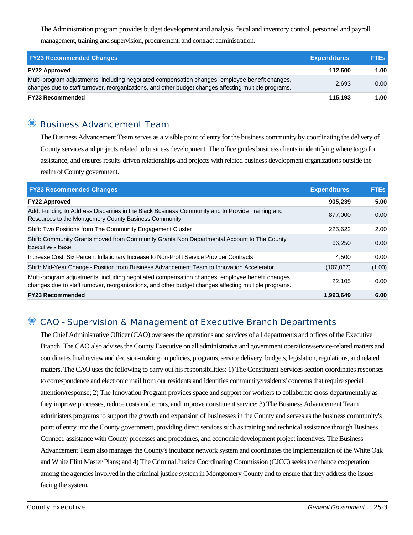The Administration program provides budget development and analysis, fiscal and inventory control, personnel and payroll management, training and supervision, procurement, and contract administration.

| <b>FY23 Recommended Changes</b>                                                                                                                                                                          | <b>Expenditures</b> | <b>FTEs</b> |
|----------------------------------------------------------------------------------------------------------------------------------------------------------------------------------------------------------|---------------------|-------------|
| <b>FY22 Approved</b>                                                                                                                                                                                     | 112.500             | 1.00        |
| Multi-program adjustments, including negotiated compensation changes, employee benefit changes,<br>changes due to staff turnover, reorganizations, and other budget changes affecting multiple programs. | 2.693               | 0.00        |
| <b>FY23 Recommended</b>                                                                                                                                                                                  | 115,193             | 1.00        |

## ✺ Business Advancement Team

The Business Advancement Team serves as a visible point of entry for the business community by coordinating the delivery of County services and projects related to business development. The office guides business clients in identifying where to go for assistance, and ensures results-driven relationships and projects with related business development organizations outside the realm of County government.

| <b>FY23 Recommended Changes</b>                                                                                                                                                                          | <b>Expenditures</b> | <b>FTES</b> |
|----------------------------------------------------------------------------------------------------------------------------------------------------------------------------------------------------------|---------------------|-------------|
| <b>FY22 Approved</b>                                                                                                                                                                                     | 905,239             | 5.00        |
| Add: Funding to Address Disparities in the Black Business Community and to Provide Training and<br>Resources to the Montgomery County Business Community                                                 | 877.000             | 0.00        |
| Shift: Two Positions from The Community Engagement Cluster                                                                                                                                               | 225,622             | 2.00        |
| Shift: Community Grants moved from Community Grants Non Departmental Account to The County<br><b>Executive's Base</b>                                                                                    | 66.250              | 0.00        |
| Increase Cost: Six Percent Inflationary Increase to Non-Profit Service Provider Contracts                                                                                                                | 4.500               | 0.00        |
| Shift: Mid-Year Change - Position from Business Advancement Team to Innovation Accelerator                                                                                                               | (107, 067)          | (1.00)      |
| Multi-program adjustments, including negotiated compensation changes, employee benefit changes,<br>changes due to staff turnover, reorganizations, and other budget changes affecting multiple programs. | 22.105              | 0.00        |
| <b>FY23 Recommended</b>                                                                                                                                                                                  | 1,993,649           | 6.00        |

## ✺ CAO - Supervision & Management of Executive Branch Departments

The Chief Administrative Officer (CAO) oversees the operations and services of all departments and offices of the Executive Branch. The CAO also advises the County Executive on all administrative and government operations/service-related matters and coordinates final review and decision-making on policies, programs, service delivery, budgets, legislation, regulations, and related matters. The CAO uses the following to carry out his responsibilities: 1) The Constituent Services section coordinates responses to correspondence and electronic mail from our residents and identifies community/residents' concerns that require special attention/response; 2) The Innovation Program provides space and support for workers to collaborate cross-departmentally as they improve processes, reduce costs and errors, and improve constituent service; 3) The Business Advancement Team administers programs to support the growth and expansion of businesses in the County and serves as the business community's point of entry into the County government, providing direct services such as training and technical assistance through Business Connect, assistance with County processes and procedures, and economic development project incentives. The Business Advancement Team also manages the County's incubator network system and coordinates the implementation of the White Oak and White Flint Master Plans; and 4) The Criminal Justice Coordinating Commission (CJCC) seeks to enhance cooperation among the agencies involved in the criminal justice system in Montgomery County and to ensure that they address the issues facing the system.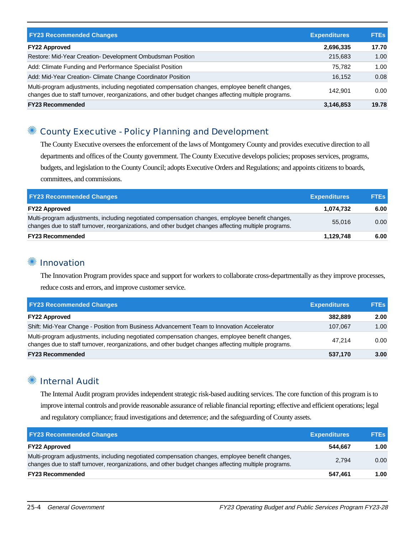| <b>FY23 Recommended Changes</b>                                                                                                                                                                          | <b>Expenditures</b> | <b>FTEs</b> |
|----------------------------------------------------------------------------------------------------------------------------------------------------------------------------------------------------------|---------------------|-------------|
|                                                                                                                                                                                                          |                     |             |
| <b>FY22 Approved</b>                                                                                                                                                                                     | 2,696,335           | 17.70       |
| Restore: Mid-Year Creation- Development Ombudsman Position                                                                                                                                               | 215,683             | 1.00        |
| Add: Climate Funding and Performance Specialist Position                                                                                                                                                 | 75.782              | 1.00        |
| Add: Mid-Year Creation- Climate Change Coordinator Position                                                                                                                                              | 16.152              | 0.08        |
| Multi-program adjustments, including negotiated compensation changes, employee benefit changes,<br>changes due to staff turnover, reorganizations, and other budget changes affecting multiple programs. | 142.901             | 0.00        |
| <b>FY23 Recommended</b>                                                                                                                                                                                  | 3,146,853           | 19.78       |

## ✺ County Executive - Policy Planning and Development

The County Executive oversees the enforcement of the laws of Montgomery County and provides executive direction to all departments and offices of the County government. The County Executive develops policies; proposes services, programs, budgets, and legislation to the County Council; adopts Executive Orders and Regulations; and appoints citizens to boards, committees, and commissions.

| <b>FY23 Recommended Changes</b>                                                                                                                                                                          | <b>Expenditures</b> | <b>FTEs</b> |
|----------------------------------------------------------------------------------------------------------------------------------------------------------------------------------------------------------|---------------------|-------------|
| <b>FY22 Approved</b>                                                                                                                                                                                     | 1.074.732           | 6.00        |
| Multi-program adjustments, including negotiated compensation changes, employee benefit changes,<br>changes due to staff turnover, reorganizations, and other budget changes affecting multiple programs. | 55,016              | 0.00        |
| <b>FY23 Recommended</b>                                                                                                                                                                                  | 1,129,748           | 6.00        |

#### **<sup>•</sup> Innovation**

The Innovation Program provides space and support for workers to collaborate cross-departmentally as they improve processes, reduce costs and errors, and improve customer service.

| <b>FY23 Recommended Changes</b>                                                                                                                                                                          | <b>Expenditures</b> | <b>FTEs</b> |
|----------------------------------------------------------------------------------------------------------------------------------------------------------------------------------------------------------|---------------------|-------------|
| <b>FY22 Approved</b>                                                                                                                                                                                     | 382.889             | 2.00        |
| Shift: Mid-Year Change - Position from Business Advancement Team to Innovation Accelerator                                                                                                               | 107.067             | 1.00        |
| Multi-program adjustments, including negotiated compensation changes, employee benefit changes,<br>changes due to staff turnover, reorganizations, and other budget changes affecting multiple programs. | 47.214              | 0.00        |
| <b>FY23 Recommended</b>                                                                                                                                                                                  | 537,170             | 3.00        |

## **Internal Audit**

The Internal Audit program provides independent strategic risk-based auditing services. The core function of this program is to improve internal controls and provide reasonable assurance of reliable financial reporting; effective and efficient operations; legal and regulatory compliance; fraud investigations and deterrence; and the safeguarding of County assets.

| <b>FY23 Recommended Changes</b>                                                                                                                                                                          | <b>Expenditures</b> | <b>FTES</b> |
|----------------------------------------------------------------------------------------------------------------------------------------------------------------------------------------------------------|---------------------|-------------|
| <b>FY22 Approved</b>                                                                                                                                                                                     | 544.667             | 1.00        |
| Multi-program adjustments, including negotiated compensation changes, employee benefit changes,<br>changes due to staff turnover, reorganizations, and other budget changes affecting multiple programs. | 2.794               | 0.00        |
| <b>FY23 Recommended</b>                                                                                                                                                                                  | 547,461             | 1.00        |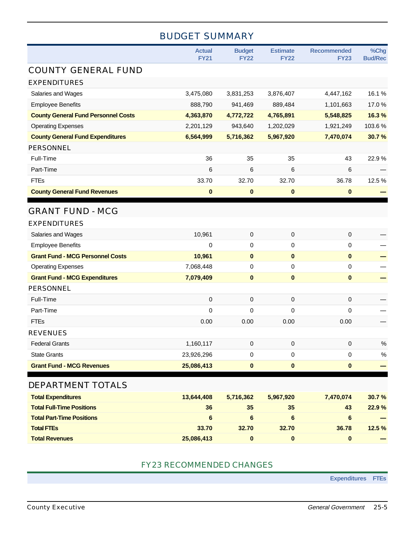# BUDGET SUMMARY

|                                            | <b>Actual</b><br><b>FY21</b> | <b>Budget</b><br><b>FY22</b> | <b>Estimate</b><br><b>FY22</b> | <b>Recommended</b><br><b>FY23</b> | %Chg<br><b>Bud/Rec</b> |
|--------------------------------------------|------------------------------|------------------------------|--------------------------------|-----------------------------------|------------------------|
| <b>COUNTY GENERAL FUND</b>                 |                              |                              |                                |                                   |                        |
| <b>EXPENDITURES</b>                        |                              |                              |                                |                                   |                        |
| Salaries and Wages                         | 3,475,080                    | 3,831,253                    | 3,876,407                      | 4,447,162                         | 16.1%                  |
| <b>Employee Benefits</b>                   | 888,790                      | 941,469                      | 889,484                        | 1,101,663                         | 17.0%                  |
| <b>County General Fund Personnel Costs</b> | 4,363,870                    | 4,772,722                    | 4,765,891                      | 5,548,825                         | 16.3%                  |
| <b>Operating Expenses</b>                  | 2,201,129                    | 943,640                      | 1,202,029                      | 1,921,249                         | 103.6%                 |
| <b>County General Fund Expenditures</b>    | 6,564,999                    | 5,716,362                    | 5,967,920                      | 7,470,074                         | 30.7%                  |
| PERSONNEL                                  |                              |                              |                                |                                   |                        |
| Full-Time                                  | 36                           | 35                           | 35                             | 43                                | 22.9%                  |
| Part-Time                                  | 6                            | 6                            | 6                              | 6                                 |                        |
| <b>FTEs</b>                                | 33.70                        | 32.70                        | 32.70                          | 36.78                             | 12.5%                  |
| <b>County General Fund Revenues</b>        | $\bf{0}$                     | $\bf{0}$                     | $\bf{0}$                       | $\bf{0}$                          |                        |
| <b>GRANT FUND - MCG</b>                    |                              |                              |                                |                                   |                        |
| <b>EXPENDITURES</b>                        |                              |                              |                                |                                   |                        |
| Salaries and Wages                         | 10,961                       | $\mathsf 0$                  | 0                              | 0                                 |                        |
| <b>Employee Benefits</b>                   | 0                            | 0                            | $\mathbf 0$                    | 0                                 |                        |
| <b>Grant Fund - MCG Personnel Costs</b>    | 10,961                       | $\bf{0}$                     | $\bf{0}$                       | $\bf{0}$                          |                        |
| <b>Operating Expenses</b>                  | 7,068,448                    | 0                            | 0                              | 0                                 |                        |
| <b>Grant Fund - MCG Expenditures</b>       | 7,079,409                    | $\pmb{0}$                    | $\pmb{0}$                      | $\pmb{0}$                         |                        |
| <b>PERSONNEL</b>                           |                              |                              |                                |                                   |                        |
| Full-Time                                  | 0                            | 0                            | 0                              | 0                                 |                        |
| Part-Time                                  | 0                            | 0                            | $\mathbf 0$                    | 0                                 |                        |
| <b>FTEs</b>                                | 0.00                         | 0.00                         | 0.00                           | 0.00                              |                        |
| <b>REVENUES</b>                            |                              |                              |                                |                                   |                        |
| <b>Federal Grants</b>                      | 1,160,117                    | 0                            | 0                              | 0                                 | $\%$                   |
| <b>State Grants</b>                        | 23,926,296                   | 0                            | 0                              | 0                                 | $\%$                   |
| <b>Grant Fund - MCG Revenues</b>           | 25,086,413                   | $\pmb{0}$                    | 0                              | $\bf{0}$                          |                        |
| DEPARTMENT TOTALS                          |                              |                              |                                |                                   |                        |
| <b>Total Expenditures</b>                  | 13,644,408                   | 5,716,362                    | 5,967,920                      | 7,470,074                         | 30.7%                  |
| <b>Total Full-Time Positions</b>           | 36                           | 35                           | 35                             | 43                                | 22.9 %                 |
| <b>Total Part-Time Positions</b>           | 6                            | 6                            | 6                              | 6                                 |                        |
| <b>Total FTEs</b>                          | 33.70                        | 32.70                        | 32.70                          | 36.78                             | 12.5 %                 |
| <b>Total Revenues</b>                      | 25,086,413                   | $\boldsymbol{0}$             | 0                              | $\pmb{0}$                         |                        |

#### FY23 RECOMMENDED CHANGES

**Expenditures FTEs**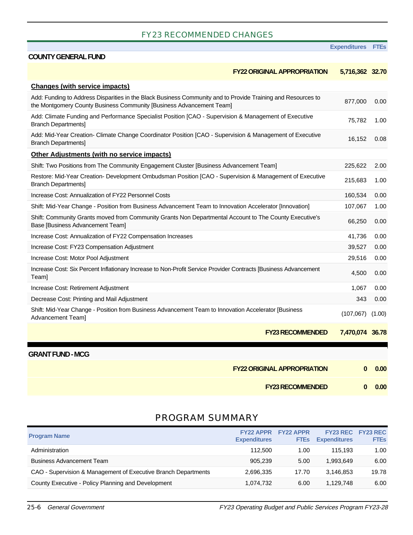#### FY23 RECOMMENDED CHANGES

#### **Expenditures FTEs**

#### **COUNTY GENERAL FUND**

| <b>FY22 ORIGINAL APPROPRIATION</b>                                                                                                                                                   | 5,716,362 32.70                            |        |
|--------------------------------------------------------------------------------------------------------------------------------------------------------------------------------------|--------------------------------------------|--------|
| <b>Changes (with service impacts)</b>                                                                                                                                                |                                            |        |
| Add: Funding to Address Disparities in the Black Business Community and to Provide Training and Resources to<br>the Montgomery County Business Community [Business Advancement Team] | 877,000                                    | 0.00   |
| Add: Climate Funding and Performance Specialist Position [CAO - Supervision & Management of Executive<br><b>Branch Departments]</b>                                                  | 75,782                                     | 1.00   |
| Add: Mid-Year Creation- Climate Change Coordinator Position [CAO - Supervision & Management of Executive<br><b>Branch Departments]</b>                                               | 16,152                                     | 0.08   |
| <b>Other Adjustments (with no service impacts)</b>                                                                                                                                   |                                            |        |
| Shift: Two Positions from The Community Engagement Cluster [Business Advancement Team]                                                                                               | 225,622                                    | 2.00   |
| Restore: Mid-Year Creation- Development Ombudsman Position [CAO - Supervision & Management of Executive<br><b>Branch Departments]</b>                                                | 215,683                                    | 1.00   |
| Increase Cost: Annualization of FY22 Personnel Costs                                                                                                                                 | 160,534                                    | 0.00   |
| Shift: Mid-Year Change - Position from Business Advancement Team to Innovation Accelerator [Innovation]                                                                              | 107,067                                    | 1.00   |
| Shift: Community Grants moved from Community Grants Non Departmental Account to The County Executive's<br>Base [Business Advancement Team]                                           | 66,250                                     | 0.00   |
| Increase Cost: Annualization of FY22 Compensation Increases                                                                                                                          | 41,736                                     | 0.00   |
| Increase Cost: FY23 Compensation Adjustment                                                                                                                                          | 39,527                                     | 0.00   |
| Increase Cost: Motor Pool Adjustment                                                                                                                                                 | 29,516                                     | 0.00   |
| Increase Cost: Six Percent Inflationary Increase to Non-Profit Service Provider Contracts [Business Advancement<br>Team]                                                             | 4,500                                      | 0.00   |
| Increase Cost: Retirement Adjustment                                                                                                                                                 | 1,067                                      | 0.00   |
| Decrease Cost: Printing and Mail Adjustment                                                                                                                                          | 343                                        | 0.00   |
| Shift: Mid-Year Change - Position from Business Advancement Team to Innovation Accelerator [Business<br>Advancement Team]                                                            | (107,067)                                  | (1.00) |
|                                                                                                                                                                                      | <b>FY23 RECOMMENDED</b><br>7,470,074 36.78 |        |

| <b>FY22 ORIGINAL APPROPRIATION</b> |  | $\begin{matrix} 0 & 0.00 \end{matrix}$ |
|------------------------------------|--|----------------------------------------|
|------------------------------------|--|----------------------------------------|

**FY23 RECOMMENDED 0 0.00**

### PROGRAM SUMMARY

| <b>Program Name</b>                                            | <b>FY22 APPR</b><br><b>Expenditures</b> | <b>FY22 APPR</b><br><b>FTEs</b> | <b>FY23 REC</b><br><b>Expenditures</b> | <b>FY23 REC</b><br><b>FTEs</b> |
|----------------------------------------------------------------|-----------------------------------------|---------------------------------|----------------------------------------|--------------------------------|
| Administration                                                 | 112,500                                 | 1.00                            | 115.193                                | 1.00                           |
| Business Advancement Team                                      | 905.239                                 | 5.00                            | 1.993.649                              | 6.00                           |
| CAO - Supervision & Management of Executive Branch Departments | 2.696.335                               | 17.70                           | 3.146.853                              | 19.78                          |
| County Executive - Policy Planning and Development             | 1.074.732                               | 6.00                            | 1.129.748                              | 6.00                           |

**GRANT FUND - MCG**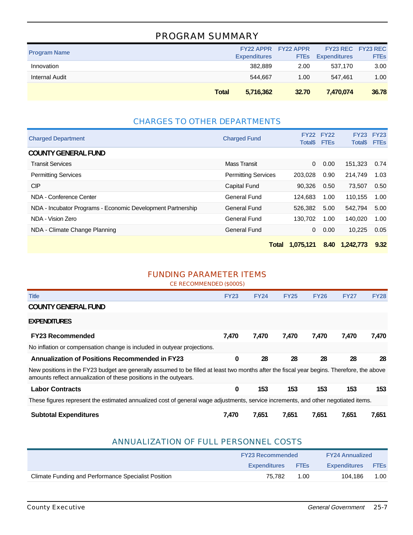## PROGRAM SUMMARY

| <b>Program Name</b> |              | <b>Expenditures</b> | <b>FY22 APPR FY22 APPR</b><br><b>FTEs</b> | FY23 REC FY23 REC<br><b>Expenditures</b> | <b>FTEs</b> |
|---------------------|--------------|---------------------|-------------------------------------------|------------------------------------------|-------------|
| Innovation          |              | 382.889             | 2.00                                      | 537.170                                  | 3.00        |
| Internal Audit      |              | 544.667             | 1.00                                      | 547.461                                  | 1.00        |
|                     | <b>Total</b> | 5,716,362           | 32.70                                     | 7.470.074                                | 36.78       |

## CHARGES TO OTHER DEPARTMENTS

| <b>Charged Department</b>                                   | <b>Charged Fund</b>        | <b>FY22</b><br><b>Total</b> <sup>\$</sup> | <b>FY22</b><br><b>FTEs</b> | <b>FY23</b><br><b>Total\$</b> | <b>FY23</b><br><b>FTEs</b> |
|-------------------------------------------------------------|----------------------------|-------------------------------------------|----------------------------|-------------------------------|----------------------------|
| <b>COUNTY GENERAL FUND</b>                                  |                            |                                           |                            |                               |                            |
| <b>Transit Services</b>                                     | Mass Transit               | $\Omega$                                  | 0.00                       | 151.323                       | 0.74                       |
| <b>Permitting Services</b>                                  | <b>Permitting Services</b> | 203,028                                   | 0.90                       | 214.749                       | 1.03                       |
| <b>CIP</b>                                                  | Capital Fund               | 90.326                                    | 0.50                       | 73.507                        | 0.50                       |
| NDA - Conference Center                                     | General Fund               | 124.683                                   | 1.00                       | 110.155                       | 1.00                       |
| NDA - Incubator Programs - Economic Development Partnership | General Fund               | 526,382                                   | 5.00                       | 542,794                       | 5.00                       |
| NDA - Vision Zero                                           | General Fund               | 130.702                                   | 1.00                       | 140.020                       | 1.00                       |
| NDA - Climate Change Planning                               | General Fund               | 0                                         | 0.00                       | 10.225                        | 0.05                       |
|                                                             | <b>Total</b>               | 1.075.121                                 | 8.40                       | 1.242,773                     | 9.32                       |

## FUNDING PARAMETER ITEMS

| CE RECOMMENDED (\$000S) |  |
|-------------------------|--|
|-------------------------|--|

| <b>Title</b>                                                                                                                                                                                                    | <b>FY23</b> | <b>FY24</b> | <b>FY25</b> | <b>FY26</b> | <b>FY27</b> | <b>FY28</b> |
|-----------------------------------------------------------------------------------------------------------------------------------------------------------------------------------------------------------------|-------------|-------------|-------------|-------------|-------------|-------------|
| <b>COUNTY GENERAL FUND</b>                                                                                                                                                                                      |             |             |             |             |             |             |
| <b>EXPENDITURES</b>                                                                                                                                                                                             |             |             |             |             |             |             |
| <b>FY23 Recommended</b>                                                                                                                                                                                         | 7,470       | 7.470       | 7.470       | 7,470       | 7,470       | 7,470       |
| No inflation or compensation change is included in outyear projections.                                                                                                                                         |             |             |             |             |             |             |
| <b>Annualization of Positions Recommended in FY23</b>                                                                                                                                                           | 0           | 28          | 28          | 28          | 28          | 28          |
| New positions in the FY23 budget are generally assumed to be filled at least two months after the fiscal year begins. Therefore, the above<br>amounts reflect annualization of these positions in the outyears. |             |             |             |             |             |             |
| <b>Labor Contracts</b>                                                                                                                                                                                          | 0           | 153         | 153         | 153         | 153         | 153         |
| These figures represent the estimated annualized cost of general wage adjustments, service increments, and other negotiated items.                                                                              |             |             |             |             |             |             |
| <b>Subtotal Expenditures</b>                                                                                                                                                                                    | 7,470       | 7.651       | 7,651       | 7,651       | 7.651       | 7,651       |

#### ANNUALIZATION OF FULL PERSONNEL COSTS

|                                                     | <b>FY23 Recommended</b>  |      | <b>FY24 Annualized</b> |             |  |
|-----------------------------------------------------|--------------------------|------|------------------------|-------------|--|
|                                                     | <b>Expenditures</b> FTEs |      | <b>Expenditures</b>    | <b>FTES</b> |  |
| Climate Funding and Performance Specialist Position | 75.782                   | 1.00 | 104.186                | 1.00        |  |